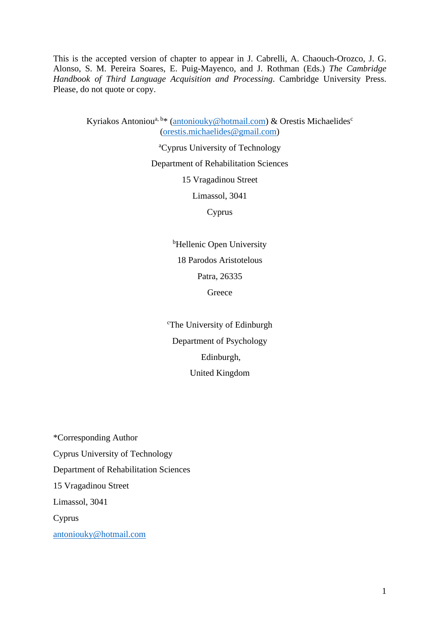This is the accepted version of chapter to appear in J. Cabrelli, A. Chaouch-Orozco, J. G. Alonso, S. M. Pereira Soares, E. Puig-Mayenco, and J. Rothman (Eds.) *The Cambridge Handbook of Third Language Acquisition and Processing*. Cambridge University Press. Please, do not quote or copy.

Kyriakos Antoniou<sup>a, b\*</sup> [\(antoniouky@hotmail.com\)](mailto:antoniouky@hotmail.com) & Orestis Michaelides<sup>c</sup> [\(orestis.michaelides@gmail.com\)](mailto:orestis.michaelides@gmail.com)

<sup>a</sup>Cyprus University of Technology

Department of Rehabilitation Sciences

15 Vragadinou Street

Limassol, 3041

Cyprus

<sup>b</sup>Hellenic Open University 18 Parodos Aristotelous Patra, 26335 **Greece** 

<sup>c</sup>The University of Edinburgh Department of Psychology Edinburgh, United Kingdom

\*Corresponding Author Cyprus University of Technology Department of Rehabilitation Sciences 15 Vragadinou Street Limassol, 3041 Cyprus [antoniouky@hotmail.com](mailto:antoniouky@hotmail.com)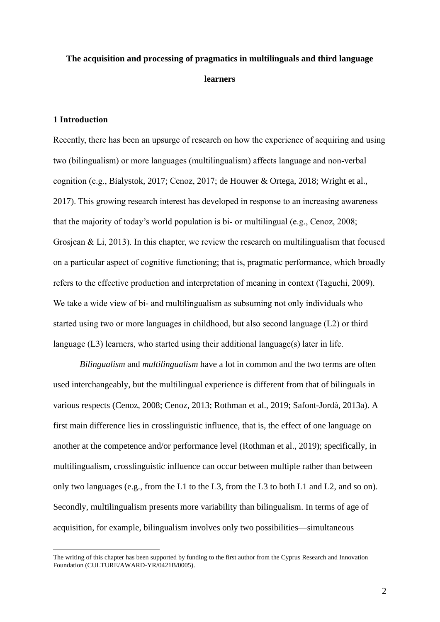# **The acquisition and processing of pragmatics in multilinguals and third language learners**

# **1 Introduction**

Recently, there has been an upsurge of research on how the experience of acquiring and using two (bilingualism) or more languages (multilingualism) affects language and non-verbal cognition (e.g., Bialystok, 2017; Cenoz, 2017; de Houwer & Ortega, 2018; Wright et al., 2017). This growing research interest has developed in response to an increasing awareness that the majority of today's world population is bi- or multilingual (e.g., Cenoz, 2008; Grosjean & Li, 2013). In this chapter, we review the research on multilingualism that focused on a particular aspect of cognitive functioning; that is, pragmatic performance, which broadly refers to the effective production and interpretation of meaning in context (Taguchi, 2009). We take a wide view of bi- and multilingualism as subsuming not only individuals who started using two or more languages in childhood, but also second language (L2) or third language (L3) learners, who started using their additional language(s) later in life.

*Bilingualism* and *multilingualism* have a lot in common and the two terms are often used interchangeably, but the multilingual experience is different from that of bilinguals in various respects (Cenoz, 2008; Cenoz, 2013; Rothman et al., 2019; Safont-Jordà, 2013a). A first main difference lies in crosslinguistic influence, that is, the effect of one language on another at the competence and/or performance level (Rothman et al., 2019); specifically, in multilingualism, crosslinguistic influence can occur between multiple rather than between only two languages (e.g., from the L1 to the L3, from the L3 to both L1 and L2, and so on). Secondly, multilingualism presents more variability than bilingualism. In terms of age of acquisition, for example, bilingualism involves only two possibilities—simultaneous

The writing of this chapter has been supported by funding to the first author from the Cyprus Research and Innovation Foundation (CULTURE/AWARD-YR/0421B/0005).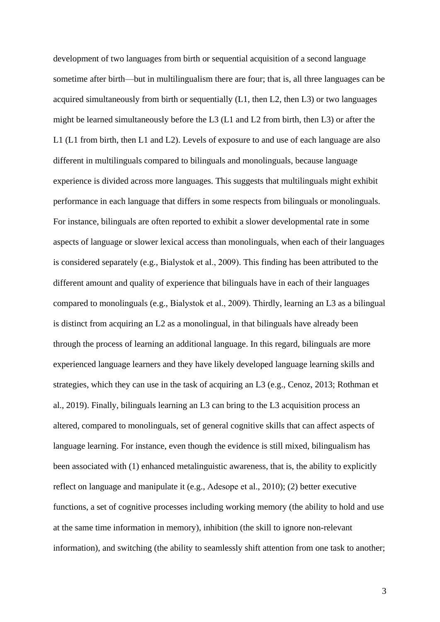development of two languages from birth or sequential acquisition of a second language sometime after birth—but in multilingualism there are four; that is, all three languages can be acquired simultaneously from birth or sequentially (L1, then L2, then L3) or two languages might be learned simultaneously before the L3 (L1 and L2 from birth, then L3) or after the L1 (L1 from birth, then L1 and L2). Levels of exposure to and use of each language are also different in multilinguals compared to bilinguals and monolinguals, because language experience is divided across more languages. This suggests that multilinguals might exhibit performance in each language that differs in some respects from bilinguals or monolinguals. For instance, bilinguals are often reported to exhibit a slower developmental rate in some aspects of language or slower lexical access than monolinguals, when each of their languages is considered separately (e.g., Bialystok et al., 2009). This finding has been attributed to the different amount and quality of experience that bilinguals have in each of their languages compared to monolinguals (e.g., Bialystok et al., 2009). Thirdly, learning an L3 as a bilingual is distinct from acquiring an L2 as a monolingual, in that bilinguals have already been through the process of learning an additional language. In this regard, bilinguals are more experienced language learners and they have likely developed language learning skills and strategies, which they can use in the task of acquiring an L3 (e.g., Cenoz, 2013; Rothman et al., 2019). Finally, bilinguals learning an L3 can bring to the L3 acquisition process an altered, compared to monolinguals, set of general cognitive skills that can affect aspects of language learning. For instance, even though the evidence is still mixed, bilingualism has been associated with (1) enhanced metalinguistic awareness, that is, the ability to explicitly reflect on language and manipulate it (e.g., Adesope et al., 2010); (2) better executive functions, a set of cognitive processes including working memory (the ability to hold and use at the same time information in memory), inhibition (the skill to ignore non-relevant information), and switching (the ability to seamlessly shift attention from one task to another;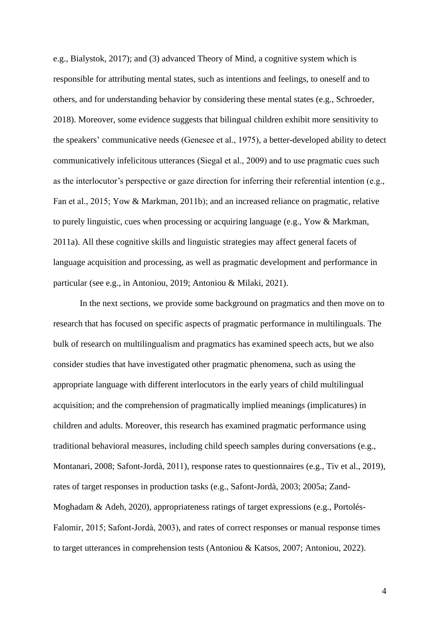e.g., Bialystok, 2017); and (3) advanced Theory of Mind, a cognitive system which is responsible for attributing mental states, such as intentions and feelings, to oneself and to others, and for understanding behavior by considering these mental states (e.g., Schroeder, 2018). Moreover, some evidence suggests that bilingual children exhibit more sensitivity to the speakers' communicative needs (Genesee et al., 1975), a better-developed ability to detect communicatively infelicitous utterances (Siegal et al., 2009) and to use pragmatic cues such as the interlocutor's perspective or gaze direction for inferring their referential intention (e.g., Fan et al., 2015; Yow & Markman, 2011b); and an increased reliance on pragmatic, relative to purely linguistic, cues when processing or acquiring language (e.g., Yow & Markman, 2011a). All these cognitive skills and linguistic strategies may affect general facets of language acquisition and processing, as well as pragmatic development and performance in particular (see e.g., in Antoniou, 2019; Antoniou & Milaki, 2021).

In the next sections, we provide some background on pragmatics and then move on to research that has focused on specific aspects of pragmatic performance in multilinguals. The bulk of research on multilingualism and pragmatics has examined speech acts, but we also consider studies that have investigated other pragmatic phenomena, such as using the appropriate language with different interlocutors in the early years of child multilingual acquisition; and the comprehension of pragmatically implied meanings (implicatures) in children and adults. Moreover, this research has examined pragmatic performance using traditional behavioral measures, including child speech samples during conversations (e.g., Montanari, 2008; Safont-Jordà, 2011), response rates to questionnaires (e.g., Tiv et al., 2019), rates of target responses in production tasks (e.g., Safont-Jordà, 2003; 2005a; Zand-Moghadam & Adeh, 2020), appropriateness ratings of target expressions (e.g., Portolés-Falomir, 2015; Safont-Jordà, 2003), and rates of correct responses or manual response times to target utterances in comprehension tests (Antoniou & Katsos, 2007; Antoniou, 2022).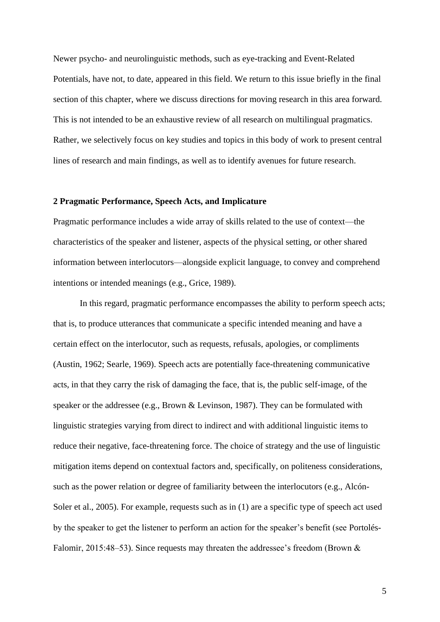Newer psycho- and neurolinguistic methods, such as eye-tracking and Event-Related Potentials, have not, to date, appeared in this field. We return to this issue briefly in the final section of this chapter, where we discuss directions for moving research in this area forward. This is not intended to be an exhaustive review of all research on multilingual pragmatics. Rather, we selectively focus on key studies and topics in this body of work to present central lines of research and main findings, as well as to identify avenues for future research.

#### **2 Pragmatic Performance, Speech Acts, and Implicature**

Pragmatic performance includes a wide array of skills related to the use of context—the characteristics of the speaker and listener, aspects of the physical setting, or other shared information between interlocutors—alongside explicit language, to convey and comprehend intentions or intended meanings (e.g., Grice, 1989).

In this regard, pragmatic performance encompasses the ability to perform speech acts; that is, to produce utterances that communicate a specific intended meaning and have a certain effect on the interlocutor, such as requests, refusals, apologies, or compliments (Austin, 1962; Searle, 1969). Speech acts are potentially face-threatening communicative acts, in that they carry the risk of damaging the face, that is, the public self-image, of the speaker or the addressee (e.g., Brown & Levinson, 1987). They can be formulated with linguistic strategies varying from direct to indirect and with additional linguistic items to reduce their negative, face-threatening force. The choice of strategy and the use of linguistic mitigation items depend on contextual factors and, specifically, on politeness considerations, such as the power relation or degree of familiarity between the interlocutors (e.g., Alcón-Soler et al., 2005). For example, requests such as in (1) are a specific type of speech act used by the speaker to get the listener to perform an action for the speaker's benefit (see Portolés-Falomir, 2015:48–53). Since requests may threaten the addressee's freedom (Brown &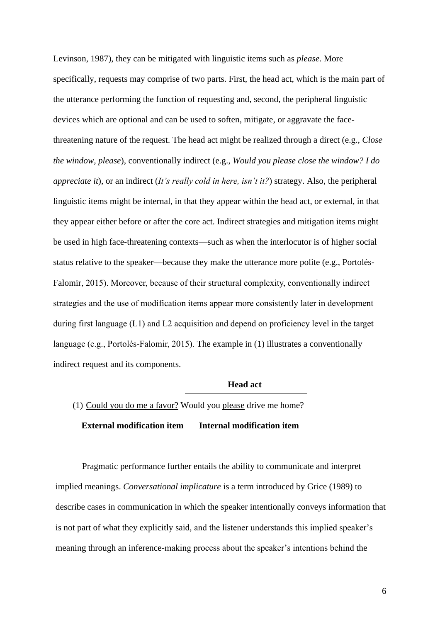Levinson, 1987), they can be mitigated with linguistic items such as *please*. More specifically, requests may comprise of two parts. First, the head act, which is the main part of the utterance performing the function of requesting and, second, the peripheral linguistic devices which are optional and can be used to soften, mitigate, or aggravate the facethreatening nature of the request. The head act might be realized through a direct (e.g., *Close the window, please*), conventionally indirect (e.g., *Would you please close the window? I do appreciate it*), or an indirect (*It's really cold in here, isn't it?*) strategy. Also, the peripheral linguistic items might be internal, in that they appear within the head act, or external, in that they appear either before or after the core act. Indirect strategies and mitigation items might be used in high face-threatening contexts—such as when the interlocutor is of higher social status relative to the speaker—because they make the utterance more polite (e.g., Portolés-Falomir, 2015). Moreover, because of their structural complexity, conventionally indirect strategies and the use of modification items appear more consistently later in development during first language (L1) and L2 acquisition and depend on proficiency level in the target language (e.g., Portolés-Falomir, 2015). The example in (1) illustrates a conventionally indirect request and its components.

## **Head act**

# (1) Could you do me a favor? Would you please drive me home?

## **External modification item Internal modification item**

Pragmatic performance further entails the ability to communicate and interpret implied meanings. *Conversational implicature* is a term introduced by Grice (1989) to describe cases in communication in which the speaker intentionally conveys information that is not part of what they explicitly said, and the listener understands this implied speaker's meaning through an inference-making process about the speaker's intentions behind the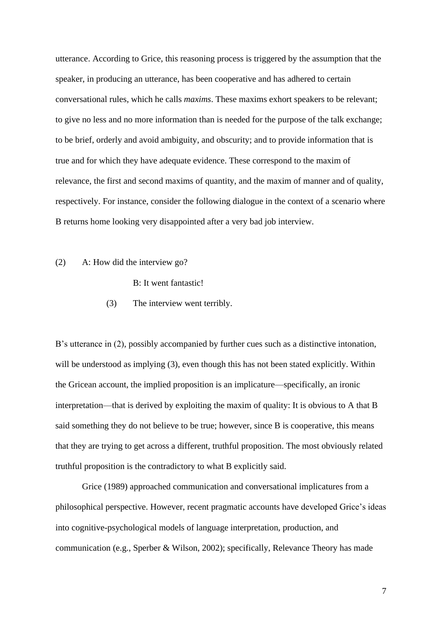utterance. According to Grice, this reasoning process is triggered by the assumption that the speaker, in producing an utterance, has been cooperative and has adhered to certain conversational rules, which he calls *maxims*. These maxims exhort speakers to be relevant; to give no less and no more information than is needed for the purpose of the talk exchange; to be brief, orderly and avoid ambiguity, and obscurity; and to provide information that is true and for which they have adequate evidence. These correspond to the maxim of relevance, the first and second maxims of quantity, and the maxim of manner and of quality, respectively. For instance, consider the following dialogue in the context of a scenario where B returns home looking very disappointed after a very bad job interview.

# (2) A: How did the interview go?

B: It went fantastic!

(3) The interview went terribly.

B's utterance in (2), possibly accompanied by further cues such as a distinctive intonation, will be understood as implying (3), even though this has not been stated explicitly. Within the Gricean account, the implied proposition is an implicature—specifically, an ironic interpretation—that is derived by exploiting the maxim of quality: It is obvious to A that B said something they do not believe to be true; however, since B is cooperative, this means that they are trying to get across a different, truthful proposition. The most obviously related truthful proposition is the contradictory to what B explicitly said.

Grice (1989) approached communication and conversational implicatures from a philosophical perspective. However, recent pragmatic accounts have developed Grice's ideas into cognitive-psychological models of language interpretation, production, and communication (e.g., Sperber & Wilson, 2002); specifically, Relevance Theory has made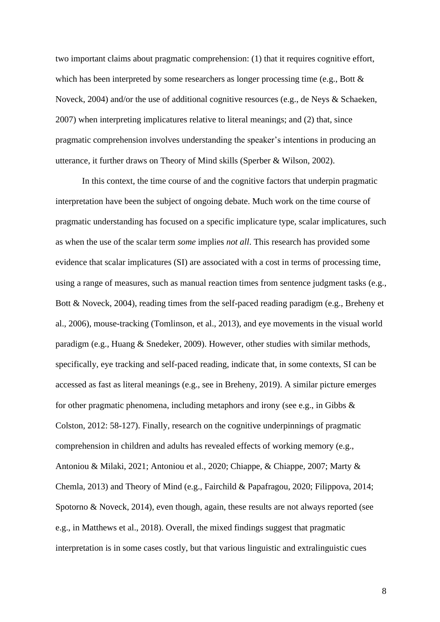two important claims about pragmatic comprehension: (1) that it requires cognitive effort, which has been interpreted by some researchers as longer processing time (e.g., Bott & Noveck, 2004) and/or the use of additional cognitive resources (e.g., de Neys & Schaeken, 2007) when interpreting implicatures relative to literal meanings; and (2) that, since pragmatic comprehension involves understanding the speaker's intentions in producing an utterance, it further draws on Theory of Mind skills (Sperber & Wilson, 2002).

In this context, the time course of and the cognitive factors that underpin pragmatic interpretation have been the subject of ongoing debate. Much work on the time course of pragmatic understanding has focused on a specific implicature type, scalar implicatures, such as when the use of the scalar term *some* implies *not all*. This research has provided some evidence that scalar implicatures (SI) are associated with a cost in terms of processing time, using a range of measures, such as manual reaction times from sentence judgment tasks (e.g., Bott & Noveck, 2004), reading times from the self-paced reading paradigm (e.g., Breheny et al., 2006), mouse-tracking (Tomlinson, et al., 2013), and eye movements in the visual world paradigm (e.g., Huang & Snedeker, 2009). However, other studies with similar methods, specifically, eye tracking and self-paced reading, indicate that, in some contexts, SI can be accessed as fast as literal meanings (e.g., see in Breheny, 2019). A similar picture emerges for other pragmatic phenomena, including metaphors and irony (see e.g., in Gibbs & Colston, 2012: 58-127). Finally, research on the cognitive underpinnings of pragmatic comprehension in children and adults has revealed effects of working memory (e.g., Antoniou & Milaki, 2021; Antoniou et al., 2020; Chiappe, & Chiappe, 2007; Marty & Chemla, 2013) and Theory of Mind (e.g., Fairchild & Papafragou, 2020; Filippova, 2014; Spotorno & Noveck, 2014), even though, again, these results are not always reported (see e.g., in Matthews et al., 2018). Overall, the mixed findings suggest that pragmatic interpretation is in some cases costly, but that various linguistic and extralinguistic cues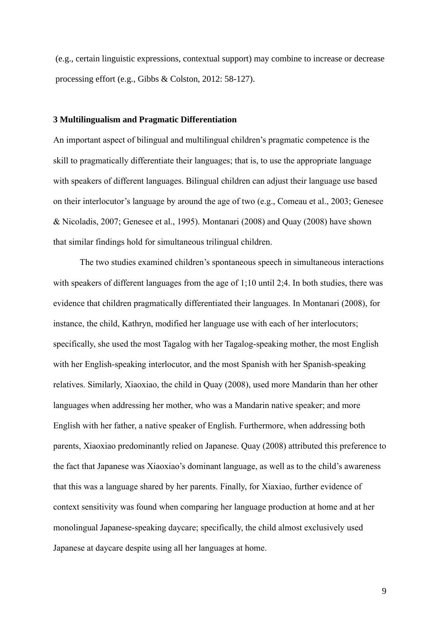(e.g., certain linguistic expressions, contextual support) may combine to increase or decrease processing effort (e.g., Gibbs & Colston, 2012: 58-127).

#### **3 Multilingualism and Pragmatic Differentiation**

An important aspect of bilingual and multilingual children's pragmatic competence is the skill to pragmatically differentiate their languages; that is, to use the appropriate language with speakers of different languages. Bilingual children can adjust their language use based on their interlocutor's language by around the age of two (e.g., Comeau et al., 2003; Genesee & Nicoladis, 2007; Genesee et al., 1995). Montanari (2008) and Quay (2008) have shown that similar findings hold for simultaneous trilingual children.

The two studies examined children's spontaneous speech in simultaneous interactions with speakers of different languages from the age of 1;10 until 2;4. In both studies, there was evidence that children pragmatically differentiated their languages. In Montanari (2008), for instance, the child, Kathryn, modified her language use with each of her interlocutors; specifically, she used the most Tagalog with her Tagalog-speaking mother, the most English with her English-speaking interlocutor, and the most Spanish with her Spanish-speaking relatives. Similarly, Xiaoxiao, the child in Quay (2008), used more Mandarin than her other languages when addressing her mother, who was a Mandarin native speaker; and more English with her father, a native speaker of English. Furthermore, when addressing both parents, Xiaoxiao predominantly relied on Japanese. Quay (2008) attributed this preference to the fact that Japanese was Xiaoxiao's dominant language, as well as to the child's awareness that this was a language shared by her parents. Finally, for Xiaxiao, further evidence of context sensitivity was found when comparing her language production at home and at her monolingual Japanese-speaking daycare; specifically, the child almost exclusively used Japanese at daycare despite using all her languages at home.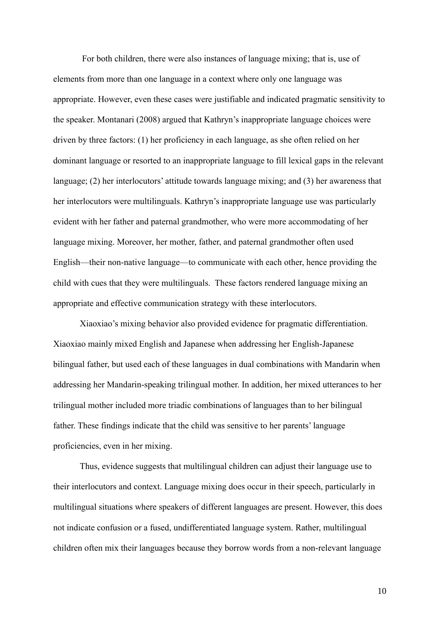For both children, there were also instances of language mixing; that is, use of elements from more than one language in a context where only one language was appropriate. However, even these cases were justifiable and indicated pragmatic sensitivity to the speaker. Montanari (2008) argued that Kathryn's inappropriate language choices were driven by three factors: (1) her proficiency in each language, as she often relied on her dominant language or resorted to an inappropriate language to fill lexical gaps in the relevant language; (2) her interlocutors' attitude towards language mixing; and (3) her awareness that her interlocutors were multilinguals. Kathryn's inappropriate language use was particularly evident with her father and paternal grandmother, who were more accommodating of her language mixing. Moreover, her mother, father, and paternal grandmother often used English—their non-native language—to communicate with each other, hence providing the child with cues that they were multilinguals. These factors rendered language mixing an appropriate and effective communication strategy with these interlocutors.

Xiaoxiao's mixing behavior also provided evidence for pragmatic differentiation. Xiaoxiao mainly mixed English and Japanese when addressing her English-Japanese bilingual father, but used each of these languages in dual combinations with Mandarin when addressing her Mandarin-speaking trilingual mother. In addition, her mixed utterances to her trilingual mother included more triadic combinations of languages than to her bilingual father. These findings indicate that the child was sensitive to her parents' language proficiencies, even in her mixing.

Thus, evidence suggests that multilingual children can adjust their language use to their interlocutors and context. Language mixing does occur in their speech, particularly in multilingual situations where speakers of different languages are present. However, this does not indicate confusion or a fused, undifferentiated language system. Rather, multilingual children often mix their languages because they borrow words from a non-relevant language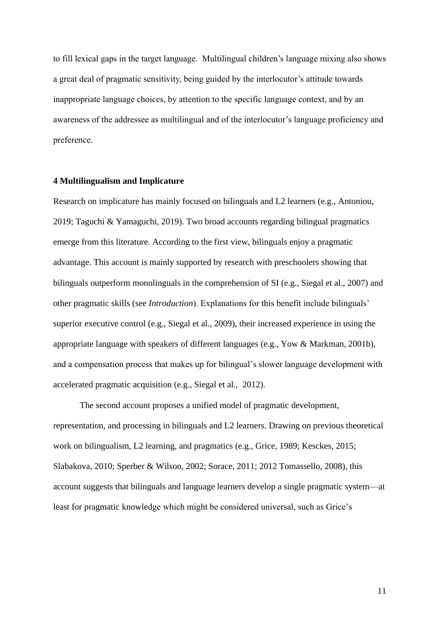to fill lexical gaps in the target language. Multilingual children's language mixing also shows a great deal of pragmatic sensitivity, being guided by the interlocutor's attitude towards inappropriate language choices, by attention to the specific language context, and by an awareness of the addressee as multilingual and of the interlocutor's language proficiency and preference.

#### **4 Multilingualism and Implicature**

Research on implicature has mainly focused on bilinguals and L2 learners (e.g., Antoniou, 2019; Taguchi & Yamaguchi, 2019). Two broad accounts regarding bilingual pragmatics emerge from this literature. According to the first view, bilinguals enjoy a pragmatic advantage. This account is mainly supported by research with preschoolers showing that bilinguals outperform monolinguals in the comprehension of SI (e.g., Siegal et al., 2007) and other pragmatic skills (see *Introduction*). Explanations for this benefit include bilinguals' superior executive control (e.g., Siegal et al., 2009), their increased experience in using the appropriate language with speakers of different languages (e.g., Yow & Markman, 2001b), and a compensation process that makes up for bilingual's slower language development with accelerated pragmatic acquisition (e.g., Siegal et al., 2012).

The second account proposes a unified model of pragmatic development, representation, and processing in bilinguals and L2 learners. Drawing on previous theoretical work on bilingualism, L2 learning, and pragmatics (e.g., Grice, 1989; Kesckes, 2015; Slabakova, 2010; Sperber & Wilson, 2002; Sorace, 2011; 2012 Tomassello, 2008), this account suggests that bilinguals and language learners develop a single pragmatic system—at least for pragmatic knowledge which might be considered universal, such as Grice's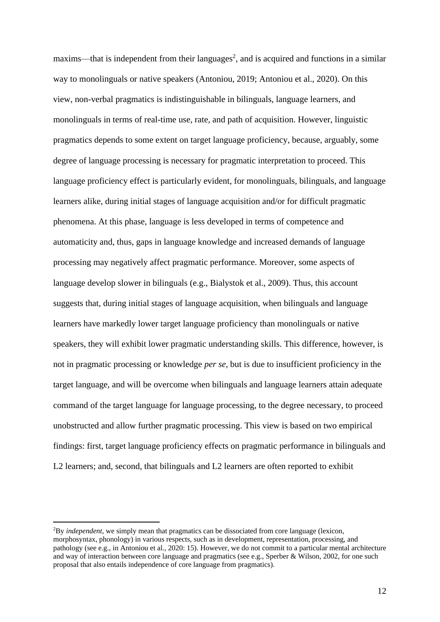$maxims$ —that is independent from their languages<sup>2</sup>, and is acquired and functions in a similar way to monolinguals or native speakers (Antoniou, 2019; Antoniou et al., 2020). On this view, non-verbal pragmatics is indistinguishable in bilinguals, language learners, and monolinguals in terms of real-time use, rate, and path of acquisition. However, linguistic pragmatics depends to some extent on target language proficiency, because, arguably, some degree of language processing is necessary for pragmatic interpretation to proceed. This language proficiency effect is particularly evident, for monolinguals, bilinguals, and language learners alike, during initial stages of language acquisition and/or for difficult pragmatic phenomena. At this phase, language is less developed in terms of competence and automaticity and, thus, gaps in language knowledge and increased demands of language processing may negatively affect pragmatic performance. Moreover, some aspects of language develop slower in bilinguals (e.g., Bialystok et al., 2009). Thus, this account suggests that, during initial stages of language acquisition, when bilinguals and language learners have markedly lower target language proficiency than monolinguals or native speakers, they will exhibit lower pragmatic understanding skills. This difference, however, is not in pragmatic processing or knowledge *per se*, but is due to insufficient proficiency in the target language, and will be overcome when bilinguals and language learners attain adequate command of the target language for language processing, to the degree necessary, to proceed unobstructed and allow further pragmatic processing. This view is based on two empirical findings: first, target language proficiency effects on pragmatic performance in bilinguals and L<sub>2</sub> learners; and, second, that bilinguals and L<sub>2</sub> learners are often reported to exhibit

<sup>2</sup>By *independent*, we simply mean that pragmatics can be dissociated from core language (lexicon, morphosyntax, phonology) in various respects, such as in development, representation, processing, and pathology (see e.g., in Antoniou et al., 2020: 15). However, we do not commit to a particular mental architecture and way of interaction between core language and pragmatics (see e.g., Sperber & Wilson, 2002, for one such proposal that also entails independence of core language from pragmatics).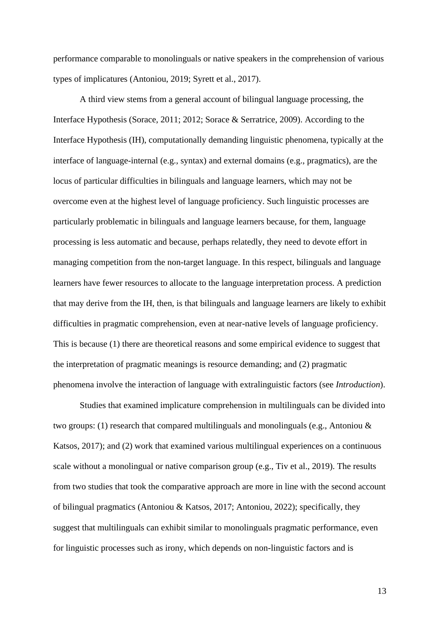performance comparable to monolinguals or native speakers in the comprehension of various types of implicatures (Antoniou, 2019; Syrett et al., 2017).

A third view stems from a general account of bilingual language processing, the Interface Hypothesis (Sorace, 2011; 2012; Sorace & Serratrice, 2009). According to the Interface Hypothesis (IH), computationally demanding linguistic phenomena, typically at the interface of language-internal (e.g., syntax) and external domains (e.g., pragmatics), are the locus of particular difficulties in bilinguals and language learners, which may not be overcome even at the highest level of language proficiency. Such linguistic processes are particularly problematic in bilinguals and language learners because, for them, language processing is less automatic and because, perhaps relatedly, they need to devote effort in managing competition from the non-target language. In this respect, bilinguals and language learners have fewer resources to allocate to the language interpretation process. A prediction that may derive from the IH, then, is that bilinguals and language learners are likely to exhibit difficulties in pragmatic comprehension, even at near-native levels of language proficiency. This is because (1) there are theoretical reasons and some empirical evidence to suggest that the interpretation of pragmatic meanings is resource demanding; and (2) pragmatic phenomena involve the interaction of language with extralinguistic factors (see *Introduction*).

Studies that examined implicature comprehension in multilinguals can be divided into two groups: (1) research that compared multilinguals and monolinguals (e.g., Antoniou & Katsos, 2017); and (2) work that examined various multilingual experiences on a continuous scale without a monolingual or native comparison group (e.g., Tiv et al., 2019). The results from two studies that took the comparative approach are more in line with the second account of bilingual pragmatics (Antoniou & Katsos, 2017; Antoniou, 2022); specifically, they suggest that multilinguals can exhibit similar to monolinguals pragmatic performance, even for linguistic processes such as irony, which depends on non-linguistic factors and is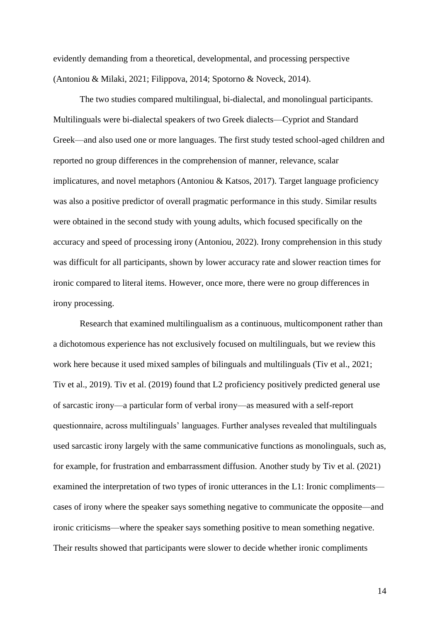evidently demanding from a theoretical, developmental, and processing perspective (Antoniou & Milaki, 2021; Filippova, 2014; Spotorno & Noveck, 2014).

The two studies compared multilingual, bi-dialectal, and monolingual participants. Multilinguals were bi-dialectal speakers of two Greek dialects—Cypriot and Standard Greek—and also used one or more languages. The first study tested school-aged children and reported no group differences in the comprehension of manner, relevance, scalar implicatures, and novel metaphors (Antoniou & Katsos, 2017). Target language proficiency was also a positive predictor of overall pragmatic performance in this study. Similar results were obtained in the second study with young adults, which focused specifically on the accuracy and speed of processing irony (Antoniou, 2022). Irony comprehension in this study was difficult for all participants, shown by lower accuracy rate and slower reaction times for ironic compared to literal items. However, once more, there were no group differences in irony processing.

Research that examined multilingualism as a continuous, multicomponent rather than a dichotomous experience has not exclusively focused on multilinguals, but we review this work here because it used mixed samples of bilinguals and multilinguals (Tiv et al., 2021; Tiv et al., 2019). Tiv et al. (2019) found that L2 proficiency positively predicted general use of sarcastic irony—a particular form of verbal irony—as measured with a self-report questionnaire, across multilinguals' languages. Further analyses revealed that multilinguals used sarcastic irony largely with the same communicative functions as monolinguals, such as, for example, for frustration and embarrassment diffusion. Another study by Tiv et al. (2021) examined the interpretation of two types of ironic utterances in the L1: Ironic compliments cases of irony where the speaker says something negative to communicate the opposite—and ironic criticisms—where the speaker says something positive to mean something negative. Their results showed that participants were slower to decide whether ironic compliments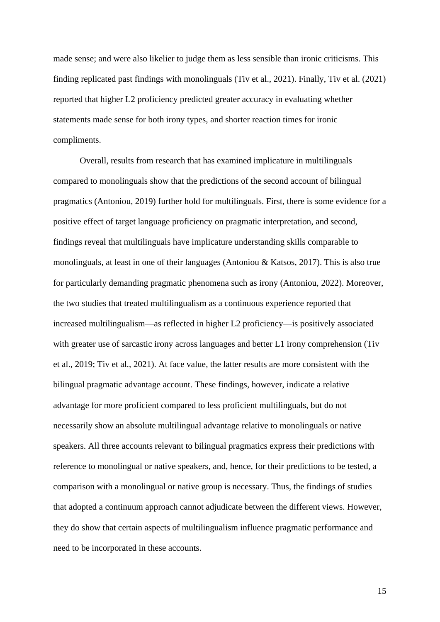made sense; and were also likelier to judge them as less sensible than ironic criticisms. This finding replicated past findings with monolinguals (Tiv et al., 2021). Finally, Tiv et al. (2021) reported that higher L2 proficiency predicted greater accuracy in evaluating whether statements made sense for both irony types, and shorter reaction times for ironic compliments.

Overall, results from research that has examined implicature in multilinguals compared to monolinguals show that the predictions of the second account of bilingual pragmatics (Antoniou, 2019) further hold for multilinguals. First, there is some evidence for a positive effect of target language proficiency on pragmatic interpretation, and second, findings reveal that multilinguals have implicature understanding skills comparable to monolinguals, at least in one of their languages (Antoniou & Katsos, 2017). This is also true for particularly demanding pragmatic phenomena such as irony (Antoniou, 2022). Moreover, the two studies that treated multilingualism as a continuous experience reported that increased multilingualism—as reflected in higher L2 proficiency—is positively associated with greater use of sarcastic irony across languages and better L1 irony comprehension (Tiv et al., 2019; Tiv et al., 2021). At face value, the latter results are more consistent with the bilingual pragmatic advantage account. These findings, however, indicate a relative advantage for more proficient compared to less proficient multilinguals, but do not necessarily show an absolute multilingual advantage relative to monolinguals or native speakers. All three accounts relevant to bilingual pragmatics express their predictions with reference to monolingual or native speakers, and, hence, for their predictions to be tested, a comparison with a monolingual or native group is necessary. Thus, the findings of studies that adopted a continuum approach cannot adjudicate between the different views. However, they do show that certain aspects of multilingualism influence pragmatic performance and need to be incorporated in these accounts.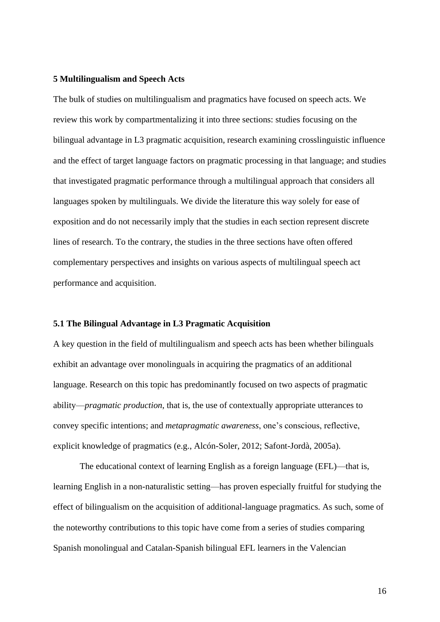#### **5 Multilingualism and Speech Acts**

The bulk of studies on multilingualism and pragmatics have focused on speech acts. We review this work by compartmentalizing it into three sections: studies focusing on the bilingual advantage in L3 pragmatic acquisition, research examining crosslinguistic influence and the effect of target language factors on pragmatic processing in that language; and studies that investigated pragmatic performance through a multilingual approach that considers all languages spoken by multilinguals. We divide the literature this way solely for ease of exposition and do not necessarily imply that the studies in each section represent discrete lines of research. To the contrary, the studies in the three sections have often offered complementary perspectives and insights on various aspects of multilingual speech act performance and acquisition.

#### **5.1 The Bilingual Advantage in L3 Pragmatic Acquisition**

A key question in the field of multilingualism and speech acts has been whether bilinguals exhibit an advantage over monolinguals in acquiring the pragmatics of an additional language. Research on this topic has predominantly focused on two aspects of pragmatic ability—*pragmatic production*, that is, the use of contextually appropriate utterances to convey specific intentions; and *metapragmatic awareness*, one's conscious, reflective, explicit knowledge of pragmatics (e.g., Alcón-Soler, 2012; Safont-Jordà, 2005a).

The educational context of learning English as a foreign language (EFL)—that is, learning English in a non-naturalistic setting—has proven especially fruitful for studying the effect of bilingualism on the acquisition of additional-language pragmatics. As such, some of the noteworthy contributions to this topic have come from a series of studies comparing Spanish monolingual and Catalan-Spanish bilingual EFL learners in the Valencian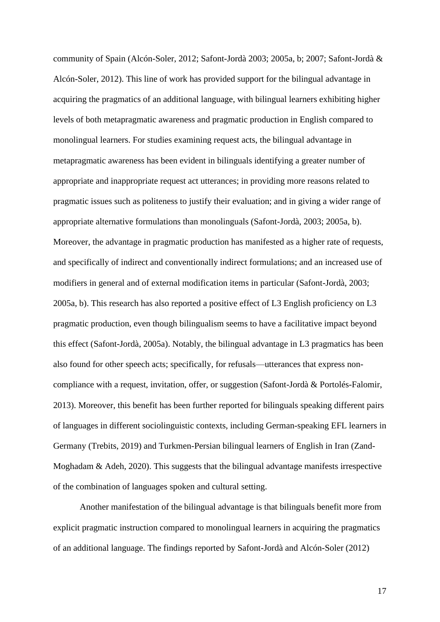community of Spain (Alcón-Soler, 2012; Safont-Jordà 2003; 2005a, b; 2007; Safont-Jordà & Alcón-Soler, 2012). This line of work has provided support for the bilingual advantage in acquiring the pragmatics of an additional language, with bilingual learners exhibiting higher levels of both metapragmatic awareness and pragmatic production in English compared to monolingual learners. For studies examining request acts, the bilingual advantage in metapragmatic awareness has been evident in bilinguals identifying a greater number of appropriate and inappropriate request act utterances; in providing more reasons related to pragmatic issues such as politeness to justify their evaluation; and in giving a wider range of appropriate alternative formulations than monolinguals (Safont-Jordà, 2003; 2005a, b). Moreover, the advantage in pragmatic production has manifested as a higher rate of requests, and specifically of indirect and conventionally indirect formulations; and an increased use of modifiers in general and of external modification items in particular (Safont-Jordà, 2003; 2005a, b). This research has also reported a positive effect of L3 English proficiency on L3 pragmatic production, even though bilingualism seems to have a facilitative impact beyond this effect (Safont-Jordà, 2005a). Notably, the bilingual advantage in L3 pragmatics has been also found for other speech acts; specifically, for refusals—utterances that express noncompliance with a request, invitation, offer, or suggestion (Safont-Jordà & Portolés-Falomir, 2013). Moreover, this benefit has been further reported for bilinguals speaking different pairs of languages in different sociolinguistic contexts, including German-speaking EFL learners in Germany (Trebits, 2019) and Turkmen-Persian bilingual learners of English in Iran (Zand-Moghadam & Adeh, 2020). This suggests that the bilingual advantage manifests irrespective of the combination of languages spoken and cultural setting.

Another manifestation of the bilingual advantage is that bilinguals benefit more from explicit pragmatic instruction compared to monolingual learners in acquiring the pragmatics of an additional language. The findings reported by Safont-Jordà and Alcón-Soler (2012)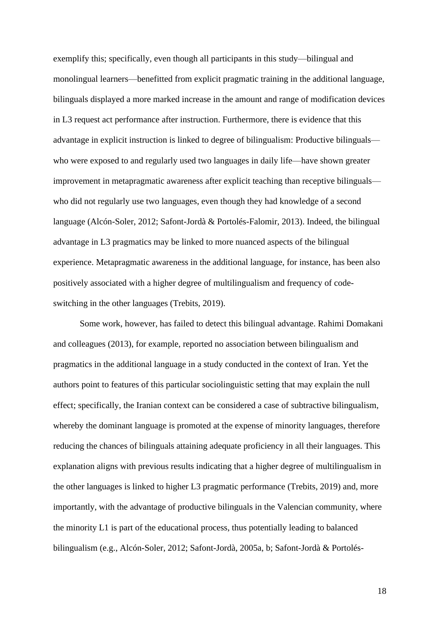exemplify this; specifically, even though all participants in this study—bilingual and monolingual learners—benefitted from explicit pragmatic training in the additional language, bilinguals displayed a more marked increase in the amount and range of modification devices in L3 request act performance after instruction. Furthermore, there is evidence that this advantage in explicit instruction is linked to degree of bilingualism: Productive bilinguals who were exposed to and regularly used two languages in daily life—have shown greater improvement in metapragmatic awareness after explicit teaching than receptive bilinguals who did not regularly use two languages, even though they had knowledge of a second language (Alcón-Soler, 2012; Safont-Jordà & Portolés-Falomir, 2013). Indeed, the bilingual advantage in L3 pragmatics may be linked to more nuanced aspects of the bilingual experience. Metapragmatic awareness in the additional language, for instance, has been also positively associated with a higher degree of multilingualism and frequency of codeswitching in the other languages (Trebits, 2019).

Some work, however, has failed to detect this bilingual advantage. Rahimi Domakani and colleagues (2013), for example, reported no association between bilingualism and pragmatics in the additional language in a study conducted in the context of Iran. Yet the authors point to features of this particular sociolinguistic setting that may explain the null effect; specifically, the Iranian context can be considered a case of subtractive bilingualism, whereby the dominant language is promoted at the expense of minority languages, therefore reducing the chances of bilinguals attaining adequate proficiency in all their languages. This explanation aligns with previous results indicating that a higher degree of multilingualism in the other languages is linked to higher L3 pragmatic performance (Trebits, 2019) and, more importantly, with the advantage of productive bilinguals in the Valencian community, where the minority L1 is part of the educational process, thus potentially leading to balanced bilingualism (e.g., Alcón-Soler, 2012; Safont-Jordà, 2005a, b; Safont-Jordà & Portolés-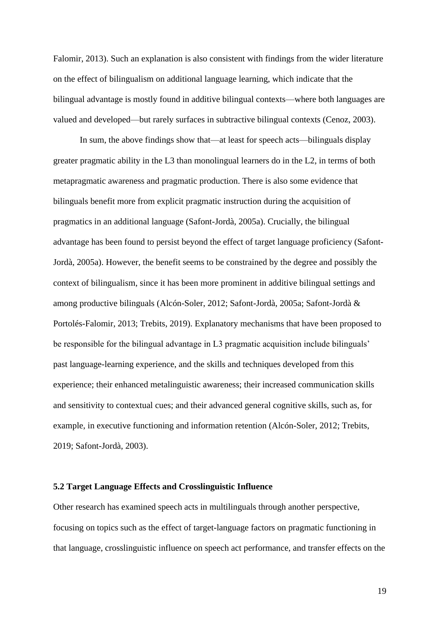Falomir, 2013). Such an explanation is also consistent with findings from the wider literature on the effect of bilingualism on additional language learning, which indicate that the bilingual advantage is mostly found in additive bilingual contexts—where both languages are valued and developed—but rarely surfaces in subtractive bilingual contexts (Cenoz, 2003).

In sum, the above findings show that—at least for speech acts—bilinguals display greater pragmatic ability in the L3 than monolingual learners do in the L2, in terms of both metapragmatic awareness and pragmatic production. There is also some evidence that bilinguals benefit more from explicit pragmatic instruction during the acquisition of pragmatics in an additional language (Safont-Jordà, 2005a). Crucially, the bilingual advantage has been found to persist beyond the effect of target language proficiency (Safont-Jordà, 2005a). However, the benefit seems to be constrained by the degree and possibly the context of bilingualism, since it has been more prominent in additive bilingual settings and among productive bilinguals (Alcón-Soler, 2012; Safont-Jordà, 2005a; Safont-Jordà & Portolés-Falomir, 2013; Trebits, 2019). Explanatory mechanisms that have been proposed to be responsible for the bilingual advantage in L3 pragmatic acquisition include bilinguals' past language-learning experience, and the skills and techniques developed from this experience; their enhanced metalinguistic awareness; their increased communication skills and sensitivity to contextual cues; and their advanced general cognitive skills, such as, for example, in executive functioning and information retention (Alcón-Soler, 2012; Trebits, 2019; Safont-Jordà, 2003).

#### **5.2 Target Language Effects and Crosslinguistic Influence**

Other research has examined speech acts in multilinguals through another perspective, focusing on topics such as the effect of target-language factors on pragmatic functioning in that language, crosslinguistic influence on speech act performance, and transfer effects on the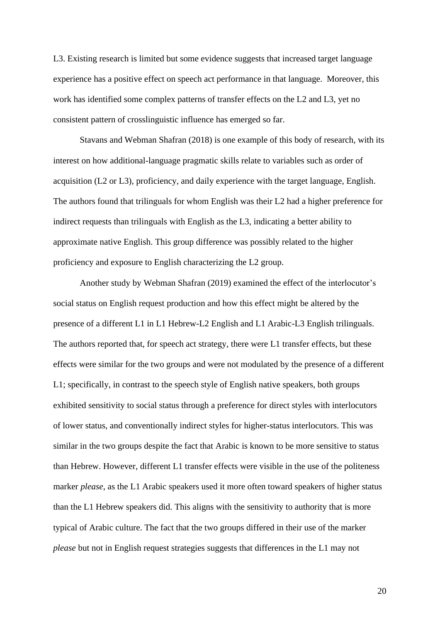L3. Existing research is limited but some evidence suggests that increased target language experience has a positive effect on speech act performance in that language. Moreover, this work has identified some complex patterns of transfer effects on the L2 and L3, yet no consistent pattern of crosslinguistic influence has emerged so far.

Stavans and Webman Shafran (2018) is one example of this body of research, with its interest on how additional-language pragmatic skills relate to variables such as order of acquisition (L2 or L3), proficiency, and daily experience with the target language, English. The authors found that trilinguals for whom English was their L2 had a higher preference for indirect requests than trilinguals with English as the L3, indicating a better ability to approximate native English. This group difference was possibly related to the higher proficiency and exposure to English characterizing the L2 group.

Another study by Webman Shafran (2019) examined the effect of the interlocutor's social status on English request production and how this effect might be altered by the presence of a different L1 in L1 Hebrew-L2 English and L1 Arabic-L3 English trilinguals. The authors reported that, for speech act strategy, there were L1 transfer effects, but these effects were similar for the two groups and were not modulated by the presence of a different L1; specifically, in contrast to the speech style of English native speakers, both groups exhibited sensitivity to social status through a preference for direct styles with interlocutors of lower status, and conventionally indirect styles for higher-status interlocutors. This was similar in the two groups despite the fact that Arabic is known to be more sensitive to status than Hebrew. However, different L1 transfer effects were visible in the use of the politeness marker *please*, as the L1 Arabic speakers used it more often toward speakers of higher status than the L1 Hebrew speakers did. This aligns with the sensitivity to authority that is more typical of Arabic culture. The fact that the two groups differed in their use of the marker *please* but not in English request strategies suggests that differences in the L1 may not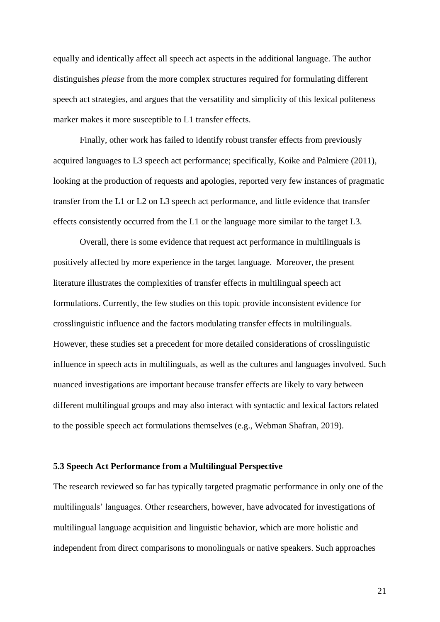equally and identically affect all speech act aspects in the additional language. The author distinguishes *please* from the more complex structures required for formulating different speech act strategies, and argues that the versatility and simplicity of this lexical politeness marker makes it more susceptible to L1 transfer effects.

Finally, other work has failed to identify robust transfer effects from previously acquired languages to L3 speech act performance; specifically, Koike and Palmiere (2011), looking at the production of requests and apologies, reported very few instances of pragmatic transfer from the L1 or L2 on L3 speech act performance, and little evidence that transfer effects consistently occurred from the L1 or the language more similar to the target L3.

Overall, there is some evidence that request act performance in multilinguals is positively affected by more experience in the target language. Moreover, the present literature illustrates the complexities of transfer effects in multilingual speech act formulations. Currently, the few studies on this topic provide inconsistent evidence for crosslinguistic influence and the factors modulating transfer effects in multilinguals. However, these studies set a precedent for more detailed considerations of crosslinguistic influence in speech acts in multilinguals, as well as the cultures and languages involved. Such nuanced investigations are important because transfer effects are likely to vary between different multilingual groups and may also interact with syntactic and lexical factors related to the possible speech act formulations themselves (e.g., Webman Shafran, 2019).

## **5.3 Speech Act Performance from a Multilingual Perspective**

The research reviewed so far has typically targeted pragmatic performance in only one of the multilinguals' languages. Other researchers, however, have advocated for investigations of multilingual language acquisition and linguistic behavior, which are more holistic and independent from direct comparisons to monolinguals or native speakers. Such approaches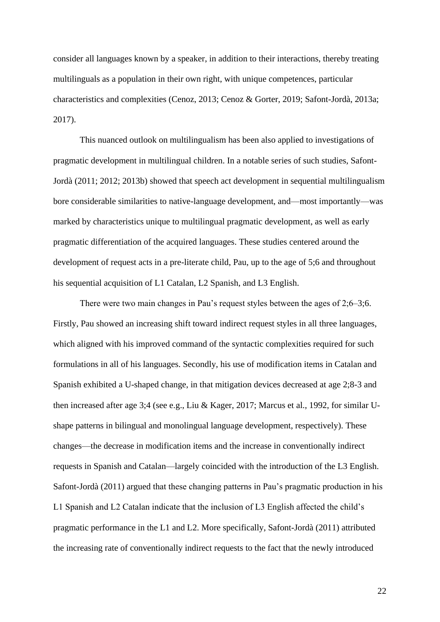consider all languages known by a speaker, in addition to their interactions, thereby treating multilinguals as a population in their own right, with unique competences, particular characteristics and complexities (Cenoz, 2013; Cenoz & Gorter, 2019; Safont-Jordà, 2013a; 2017).

This nuanced outlook on multilingualism has been also applied to investigations of pragmatic development in multilingual children. In a notable series of such studies, Safont-Jordà (2011; 2012; 2013b) showed that speech act development in sequential multilingualism bore considerable similarities to native-language development, and—most importantly—was marked by characteristics unique to multilingual pragmatic development, as well as early pragmatic differentiation of the acquired languages. These studies centered around the development of request acts in a pre-literate child, Pau, up to the age of 5;6 and throughout his sequential acquisition of L1 Catalan, L2 Spanish, and L3 English.

There were two main changes in Pau's request styles between the ages of 2;6–3;6. Firstly, Pau showed an increasing shift toward indirect request styles in all three languages, which aligned with his improved command of the syntactic complexities required for such formulations in all of his languages. Secondly, his use of modification items in Catalan and Spanish exhibited a U-shaped change, in that mitigation devices decreased at age 2;8-3 and then increased after age 3;4 (see e.g., Liu & Kager, 2017; Marcus et al., 1992, for similar Ushape patterns in bilingual and monolingual language development, respectively). These changes—the decrease in modification items and the increase in conventionally indirect requests in Spanish and Catalan—largely coincided with the introduction of the L3 English. Safont-Jordà (2011) argued that these changing patterns in Pau's pragmatic production in his L1 Spanish and L2 Catalan indicate that the inclusion of L3 English affected the child's pragmatic performance in the L1 and L2. More specifically, Safont-Jordà (2011) attributed the increasing rate of conventionally indirect requests to the fact that the newly introduced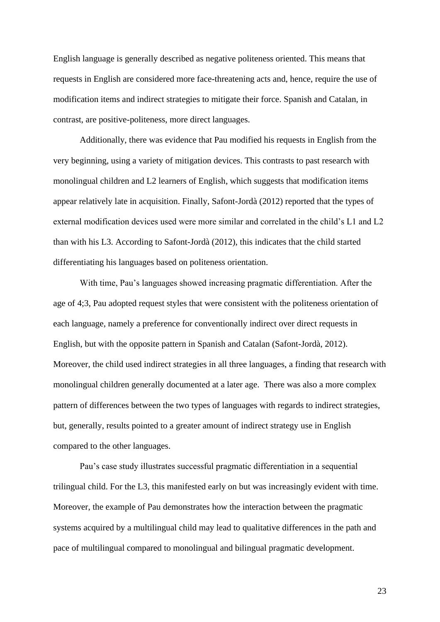English language is generally described as negative politeness oriented. This means that requests in English are considered more face-threatening acts and, hence, require the use of modification items and indirect strategies to mitigate their force. Spanish and Catalan, in contrast, are positive-politeness, more direct languages.

Additionally, there was evidence that Pau modified his requests in English from the very beginning, using a variety of mitigation devices. This contrasts to past research with monolingual children and L2 learners of English, which suggests that modification items appear relatively late in acquisition. Finally, Safont-Jordà (2012) reported that the types of external modification devices used were more similar and correlated in the child's L1 and L2 than with his L3. According to Safont-Jordà (2012), this indicates that the child started differentiating his languages based on politeness orientation.

With time, Pau's languages showed increasing pragmatic differentiation. After the age of 4;3, Pau adopted request styles that were consistent with the politeness orientation of each language, namely a preference for conventionally indirect over direct requests in English, but with the opposite pattern in Spanish and Catalan (Safont-Jordà, 2012). Moreover, the child used indirect strategies in all three languages, a finding that research with monolingual children generally documented at a later age. There was also a more complex pattern of differences between the two types of languages with regards to indirect strategies, but, generally, results pointed to a greater amount of indirect strategy use in English compared to the other languages.

Pau's case study illustrates successful pragmatic differentiation in a sequential trilingual child. For the L3, this manifested early on but was increasingly evident with time. Moreover, the example of Pau demonstrates how the interaction between the pragmatic systems acquired by a multilingual child may lead to qualitative differences in the path and pace of multilingual compared to monolingual and bilingual pragmatic development.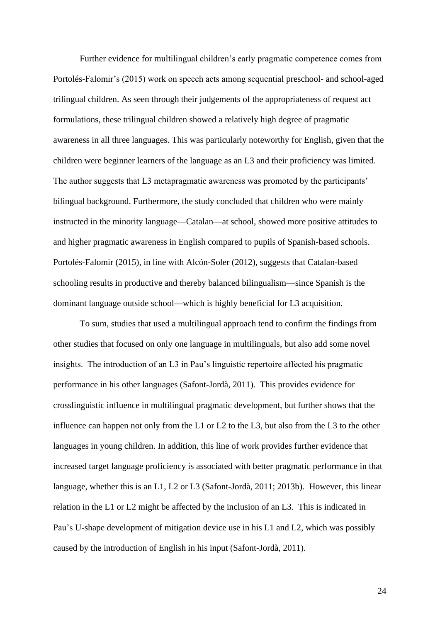Further evidence for multilingual children's early pragmatic competence comes from Portolés-Falomir's (2015) work on speech acts among sequential preschool- and school-aged trilingual children. As seen through their judgements of the appropriateness of request act formulations, these trilingual children showed a relatively high degree of pragmatic awareness in all three languages. This was particularly noteworthy for English, given that the children were beginner learners of the language as an L3 and their proficiency was limited. The author suggests that L3 metapragmatic awareness was promoted by the participants' bilingual background. Furthermore, the study concluded that children who were mainly instructed in the minority language—Catalan—at school, showed more positive attitudes to and higher pragmatic awareness in English compared to pupils of Spanish-based schools. Portolés-Falomir (2015), in line with Alcón-Soler (2012), suggests that Catalan-based schooling results in productive and thereby balanced bilingualism—since Spanish is the dominant language outside school—which is highly beneficial for L3 acquisition.

To sum, studies that used a multilingual approach tend to confirm the findings from other studies that focused on only one language in multilinguals, but also add some novel insights. The introduction of an L3 in Pau's linguistic repertoire affected his pragmatic performance in his other languages (Safont-Jordà, 2011). This provides evidence for crosslinguistic influence in multilingual pragmatic development, but further shows that the influence can happen not only from the L1 or L2 to the L3, but also from the L3 to the other languages in young children. In addition, this line of work provides further evidence that increased target language proficiency is associated with better pragmatic performance in that language, whether this is an L1, L2 or L3 (Safont-Jordà, 2011; 2013b). However, this linear relation in the L1 or L2 might be affected by the inclusion of an L3. This is indicated in Pau's U-shape development of mitigation device use in his L1 and L2, which was possibly caused by the introduction of English in his input (Safont-Jordà, 2011).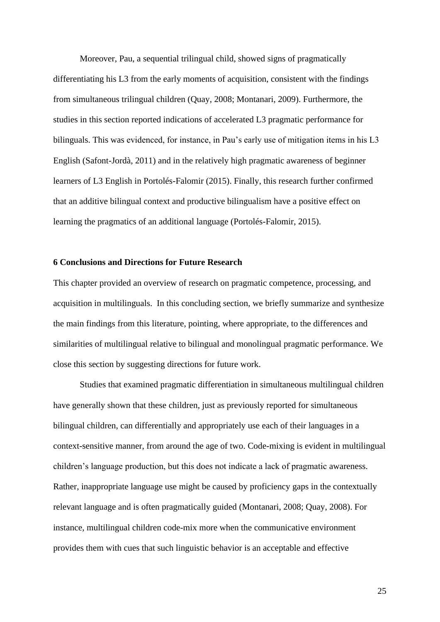Moreover, Pau, a sequential trilingual child, showed signs of pragmatically differentiating his L3 from the early moments of acquisition, consistent with the findings from simultaneous trilingual children (Quay, 2008; Montanari, 2009). Furthermore, the studies in this section reported indications of accelerated L3 pragmatic performance for bilinguals. This was evidenced, for instance, in Pau's early use of mitigation items in his L3 English (Safont-Jordà, 2011) and in the relatively high pragmatic awareness of beginner learners of L3 English in Portolés-Falomir (2015). Finally, this research further confirmed that an additive bilingual context and productive bilingualism have a positive effect on learning the pragmatics of an additional language (Portolés-Falomir, 2015).

## **6 Conclusions and Directions for Future Research**

This chapter provided an overview of research on pragmatic competence, processing, and acquisition in multilinguals. In this concluding section, we briefly summarize and synthesize the main findings from this literature, pointing, where appropriate, to the differences and similarities of multilingual relative to bilingual and monolingual pragmatic performance. We close this section by suggesting directions for future work.

Studies that examined pragmatic differentiation in simultaneous multilingual children have generally shown that these children, just as previously reported for simultaneous bilingual children, can differentially and appropriately use each of their languages in a context-sensitive manner, from around the age of two. Code-mixing is evident in multilingual children's language production, but this does not indicate a lack of pragmatic awareness. Rather, inappropriate language use might be caused by proficiency gaps in the contextually relevant language and is often pragmatically guided (Montanari, 2008; Quay, 2008). For instance, multilingual children code-mix more when the communicative environment provides them with cues that such linguistic behavior is an acceptable and effective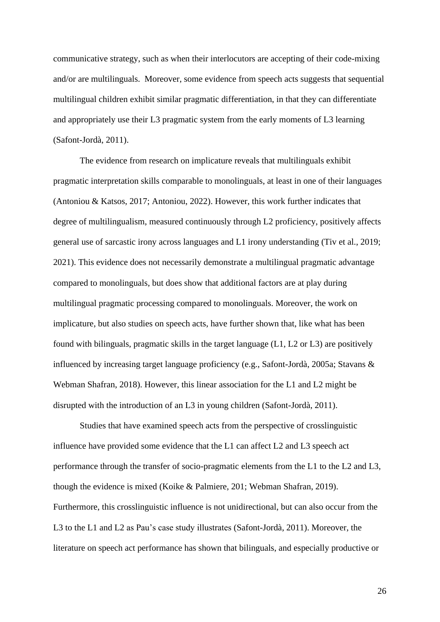communicative strategy, such as when their interlocutors are accepting of their code-mixing and/or are multilinguals. Moreover, some evidence from speech acts suggests that sequential multilingual children exhibit similar pragmatic differentiation, in that they can differentiate and appropriately use their L3 pragmatic system from the early moments of L3 learning (Safont-Jordà, 2011).

The evidence from research on implicature reveals that multilinguals exhibit pragmatic interpretation skills comparable to monolinguals, at least in one of their languages (Antoniou & Katsos, 2017; Antoniou, 2022). However, this work further indicates that degree of multilingualism, measured continuously through L2 proficiency, positively affects general use of sarcastic irony across languages and L1 irony understanding (Tiv et al., 2019; 2021). This evidence does not necessarily demonstrate a multilingual pragmatic advantage compared to monolinguals, but does show that additional factors are at play during multilingual pragmatic processing compared to monolinguals. Moreover, the work on implicature, but also studies on speech acts, have further shown that, like what has been found with bilinguals, pragmatic skills in the target language (L1, L2 or L3) are positively influenced by increasing target language proficiency (e.g., Safont-Jordà, 2005a; Stavans & Webman Shafran, 2018). However, this linear association for the L1 and L2 might be disrupted with the introduction of an L3 in young children (Safont-Jordà, 2011).

Studies that have examined speech acts from the perspective of crosslinguistic influence have provided some evidence that the L1 can affect L2 and L3 speech act performance through the transfer of socio-pragmatic elements from the L1 to the L2 and L3, though the evidence is mixed (Koike & Palmiere, 201; Webman Shafran, 2019). Furthermore, this crosslinguistic influence is not unidirectional, but can also occur from the L3 to the L1 and L2 as Pau's case study illustrates (Safont-Jordà, 2011). Moreover, the literature on speech act performance has shown that bilinguals, and especially productive or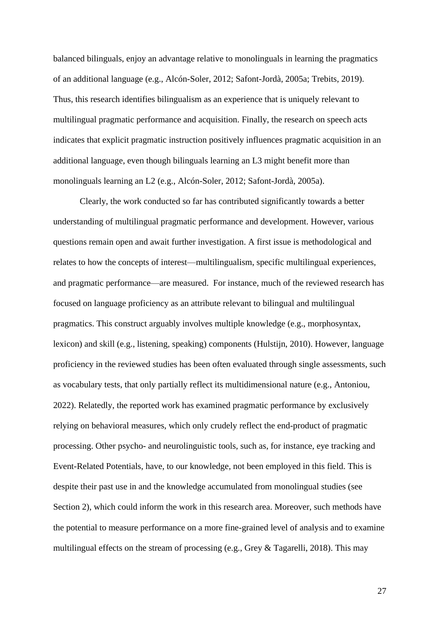balanced bilinguals, enjoy an advantage relative to monolinguals in learning the pragmatics of an additional language (e.g., Alcón-Soler, 2012; Safont-Jordà, 2005a; Trebits, 2019). Thus, this research identifies bilingualism as an experience that is uniquely relevant to multilingual pragmatic performance and acquisition. Finally, the research on speech acts indicates that explicit pragmatic instruction positively influences pragmatic acquisition in an additional language, even though bilinguals learning an L3 might benefit more than monolinguals learning an L2 (e.g., Alcón-Soler, 2012; Safont-Jordà, 2005a).

Clearly, the work conducted so far has contributed significantly towards a better understanding of multilingual pragmatic performance and development. However, various questions remain open and await further investigation. A first issue is methodological and relates to how the concepts of interest—multilingualism, specific multilingual experiences, and pragmatic performance—are measured. For instance, much of the reviewed research has focused on language proficiency as an attribute relevant to bilingual and multilingual pragmatics. This construct arguably involves multiple knowledge (e.g., morphosyntax, lexicon) and skill (e.g., listening, speaking) components (Hulstijn, 2010). However, language proficiency in the reviewed studies has been often evaluated through single assessments, such as vocabulary tests, that only partially reflect its multidimensional nature (e.g., Antoniou, 2022). Relatedly, the reported work has examined pragmatic performance by exclusively relying on behavioral measures, which only crudely reflect the end-product of pragmatic processing. Other psycho- and neurolinguistic tools, such as, for instance, eye tracking and Event-Related Potentials, have, to our knowledge, not been employed in this field. This is despite their past use in and the knowledge accumulated from monolingual studies (see Section 2), which could inform the work in this research area. Moreover, such methods have the potential to measure performance on a more fine-grained level of analysis and to examine multilingual effects on the stream of processing (e.g., Grey & Tagarelli, 2018). This may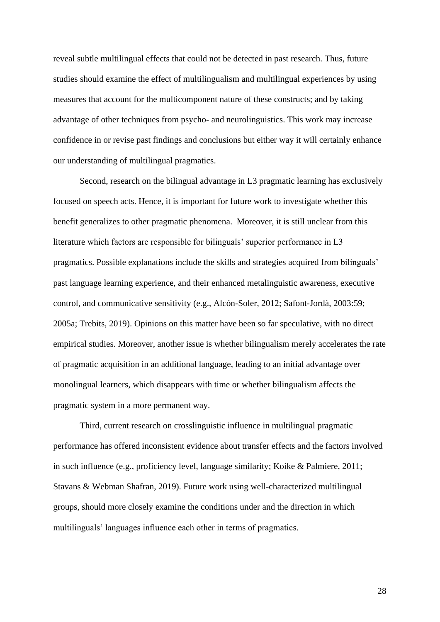reveal subtle multilingual effects that could not be detected in past research. Thus, future studies should examine the effect of multilingualism and multilingual experiences by using measures that account for the multicomponent nature of these constructs; and by taking advantage of other techniques from psycho- and neurolinguistics. This work may increase confidence in or revise past findings and conclusions but either way it will certainly enhance our understanding of multilingual pragmatics.

Second, research on the bilingual advantage in L3 pragmatic learning has exclusively focused on speech acts. Hence, it is important for future work to investigate whether this benefit generalizes to other pragmatic phenomena. Moreover, it is still unclear from this literature which factors are responsible for bilinguals' superior performance in L3 pragmatics. Possible explanations include the skills and strategies acquired from bilinguals' past language learning experience, and their enhanced metalinguistic awareness, executive control, and communicative sensitivity (e.g., Alcón-Soler, 2012; Safont-Jordà, 2003:59; 2005a; Trebits, 2019). Opinions on this matter have been so far speculative, with no direct empirical studies. Moreover, another issue is whether bilingualism merely accelerates the rate of pragmatic acquisition in an additional language, leading to an initial advantage over monolingual learners, which disappears with time or whether bilingualism affects the pragmatic system in a more permanent way.

Third, current research on crosslinguistic influence in multilingual pragmatic performance has offered inconsistent evidence about transfer effects and the factors involved in such influence (e.g., proficiency level, language similarity; Koike & Palmiere, 2011; Stavans & Webman Shafran, 2019). Future work using well-characterized multilingual groups, should more closely examine the conditions under and the direction in which multilinguals' languages influence each other in terms of pragmatics.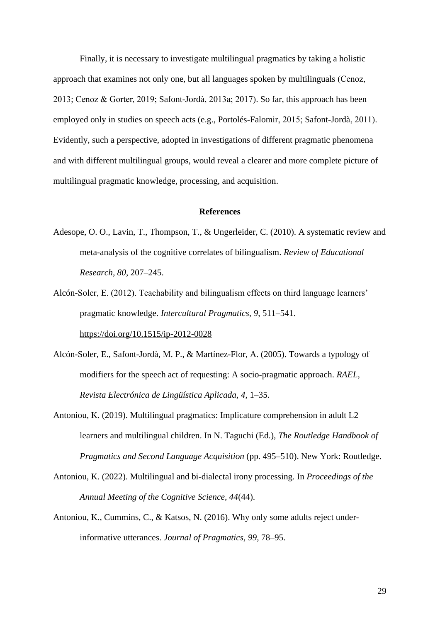Finally, it is necessary to investigate multilingual pragmatics by taking a holistic approach that examines not only one, but all languages spoken by multilinguals (Cenoz, 2013; Cenoz & Gorter, 2019; Safont-Jordà, 2013a; 2017). So far, this approach has been employed only in studies on speech acts (e.g., Portolés-Falomir, 2015; Safont-Jordà, 2011). Evidently, such a perspective, adopted in investigations of different pragmatic phenomena and with different multilingual groups, would reveal a clearer and more complete picture of multilingual pragmatic knowledge, processing, and acquisition.

#### **References**

- Adesope, O. O., Lavin, T., Thompson, T., & Ungerleider, C. (2010). A systematic review and meta-analysis of the cognitive correlates of bilingualism. *Review of Educational Research, 80*, 207–245.
- Alcón-Soler, E. (2012). Teachability and bilingualism effects on third language learners' pragmatic knowledge. *Intercultural Pragmatics, 9*, 511–541. <https://doi.org/10.1515/ip-2012-0028>
- Alcón-Soler, E., Safont-Jordà, M. P., & Martínez-Flor, A. (2005). Towards a typology of modifiers for the speech act of requesting: A socio-pragmatic approach. *RAEL, Revista Electrónica de Lingüística Aplicada, 4*, 1–35.
- Antoniou, K. (2019). Multilingual pragmatics: Implicature comprehension in adult L2 learners and multilingual children. In N. Taguchi (Ed.), *The Routledge Handbook of Pragmatics and Second Language Acquisition* (pp. 495–510). New York: Routledge.
- Antoniou, K. (2022). Multilingual and bi-dialectal irony processing. In *Proceedings of the Annual Meeting of the Cognitive Science, 44*(44).
- Antoniou, K., Cummins, C., & Katsos, N. (2016). Why only some adults reject underinformative utterances. *Journal of Pragmatics, 99*, 78–95.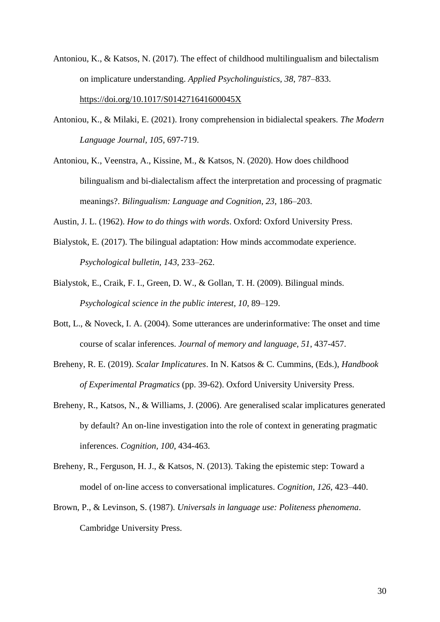- Antoniou, K., & Katsos, N. (2017). The effect of childhood multilingualism and bilectalism on implicature understanding. *Applied Psycholinguistics, 38*, 787–833. <https://doi.org/10.1017/S014271641600045X>
- Antoniou, K., & Milaki, E. (2021). Irony comprehension in bidialectal speakers. *The Modern Language Journal, 105*, 697-719.
- Antoniou, K., Veenstra, A., Kissine, M., & Katsos, N. (2020). How does childhood bilingualism and bi-dialectalism affect the interpretation and processing of pragmatic meanings?. *Bilingualism: Language and Cognition*, *23*, 186–203.

Austin, J. L. (1962). *How to do things with words*. Oxford: Oxford University Press.

- Bialystok, E. (2017). The bilingual adaptation: How minds accommodate experience. *Psychological bulletin, 143*, 233–262.
- Bialystok, E., Craik, F. I., Green, D. W., & Gollan, T. H. (2009). Bilingual minds. *Psychological science in the public interest, 10*, 89–129.
- Bott, L., & Noveck, I. A. (2004). Some utterances are underinformative: The onset and time course of scalar inferences. *Journal of memory and language, 51*, 437-457.
- Breheny, R. E. (2019). *Scalar Implicatures*. In N. Katsos & C. Cummins, (Eds.), *Handbook of Experimental Pragmatics* (pp. 39-62). Oxford University University Press.
- Breheny, R., Katsos, N., & Williams, J. (2006). Are generalised scalar implicatures generated by default? An on-line investigation into the role of context in generating pragmatic inferences. *Cognition, 100*, 434-463.
- Breheny, R., Ferguson, H. J., & Katsos, N. (2013). Taking the epistemic step: Toward a model of on-line access to conversational implicatures. *Cognition, 126, 423–440.*
- Brown, P., & Levinson, S. (1987). *Universals in language use: Politeness phenomena*. Cambridge University Press.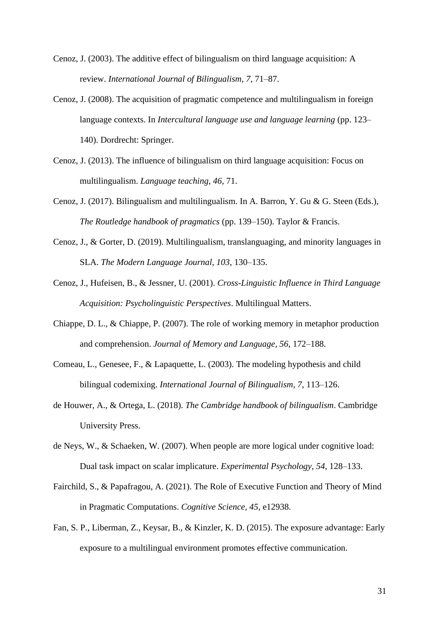- Cenoz, J. (2003). The additive effect of bilingualism on third language acquisition: A review. *International Journal of Bilingualism*, *7*, 71–87.
- Cenoz, J. (2008). The acquisition of pragmatic competence and multilingualism in foreign language contexts. In *Intercultural language use and language learning* (pp. 123– 140). Dordrecht: Springer.
- Cenoz, J. (2013). The influence of bilingualism on third language acquisition: Focus on multilingualism. *Language teaching*, *46*, 71.
- Cenoz, J. (2017). Bilingualism and multilingualism. In A. Barron, Y. Gu & G. Steen (Eds.), *The Routledge handbook of pragmatics* (pp. 139–150). Taylor & Francis.
- Cenoz, J., & Gorter, D. (2019). Multilingualism, translanguaging, and minority languages in SLA. *The Modern Language Journal*, *103*, 130–135.
- Cenoz, J., Hufeisen, B., & Jessner, U. (2001). *Cross-Linguistic Influence in Third Language Acquisition: Psycholinguistic Perspectives*. Multilingual Matters.
- Chiappe, D. L., & Chiappe, P. (2007). The role of working memory in metaphor production and comprehension. *Journal of Memory and Language, 56*, 172–188.
- Comeau, L., Genesee, F., & Lapaquette, L. (2003). The modeling hypothesis and child bilingual codemixing. *International Journal of Bilingualism, 7*, 113–126.
- de Houwer, A., & Ortega, L. (2018). *The Cambridge handbook of bilingualism*. Cambridge University Press.
- de Neys, W., & Schaeken, W. (2007). When people are more logical under cognitive load: Dual task impact on scalar implicature. *Experimental Psychology, 54*, 128–133.
- Fairchild, S., & Papafragou, A. (2021). The Role of Executive Function and Theory of Mind in Pragmatic Computations. *Cognitive Science, 45*, e12938.
- Fan, S. P., Liberman, Z., Keysar, B., & Kinzler, K. D. (2015). The exposure advantage: Early exposure to a multilingual environment promotes effective communication.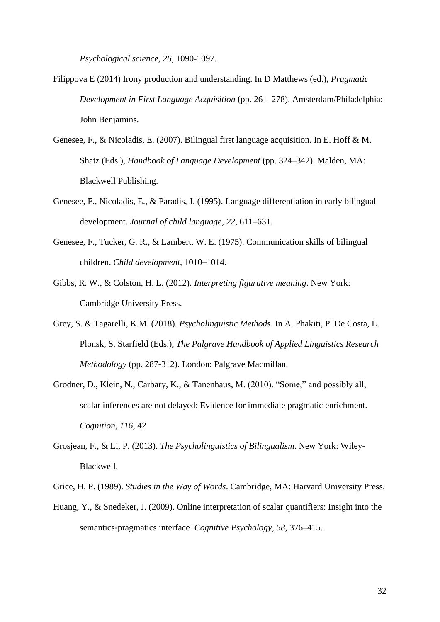*Psychological science, 26*, 1090-1097.

- Filippova E (2014) Irony production and understanding. In D Matthews (ed.), *Pragmatic Development in First Language Acquisition* (pp. 261–278). Amsterdam/Philadelphia: John Benjamins.
- Genesee, F., & Nicoladis, E. (2007). Bilingual first language acquisition. In E. Hoff & M. Shatz (Eds.), *Handbook of Language Development* (pp. 324–342). Malden, MA: Blackwell Publishing.
- Genesee, F., Nicoladis, E., & Paradis, J. (1995). Language differentiation in early bilingual development. *Journal of child language, 22*, 611–631.
- Genesee, F., Tucker, G. R., & Lambert, W. E. (1975). Communication skills of bilingual children. *Child development*, 1010–1014.
- Gibbs, R. W., & Colston, H. L. (2012). *Interpreting figurative meaning*. New York: Cambridge University Press.
- Grey, S. & Tagarelli, K.M. (2018). *Psycholinguistic Methods*. In A. Phakiti, P. De Costa, L. Plonsk, S. Starfield (Eds.), *The Palgrave Handbook of Applied Linguistics Research Methodology* (pp. 287-312). London: Palgrave Macmillan.
- Grodner, D., Klein, N., Carbary, K., & Tanenhaus, M. (2010). "Some," and possibly all, scalar inferences are not delayed: Evidence for immediate pragmatic enrichment. *Cognition, 116*, 42
- Grosjean, F., & Li, P. (2013). *The Psycholinguistics of Bilingualism*. New York: Wiley-Blackwell.
- Grice, H. P. (1989). *Studies in the Way of Words*. Cambridge, MA: Harvard University Press.
- Huang, Y., & Snedeker, J. (2009). Online interpretation of scalar quantifiers: Insight into the semantics-pragmatics interface. *Cognitive Psychology*, 58, 376–415.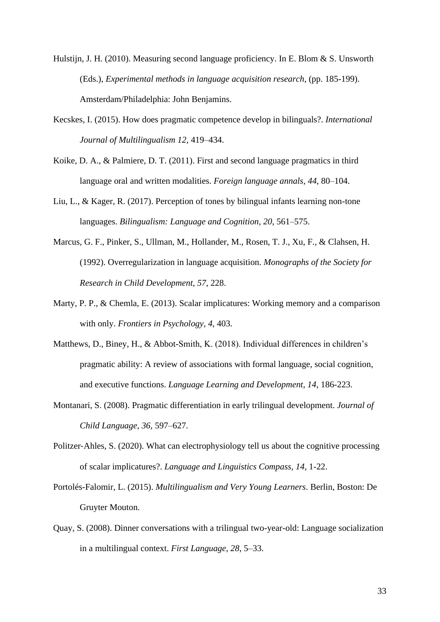- Hulstijn, J. H. (2010). Measuring second language proficiency. In E. Blom & S. Unsworth (Eds.), *Experimental methods in language acquisition research*, (pp. 185-199). Amsterdam/Philadelphia: John Benjamins.
- Kecskes, I. (2015). How does pragmatic competence develop in bilinguals?. *International Journal of Multilingualism 12*, 419–434.
- Koike, D. A., & Palmiere, D. T. (2011). First and second language pragmatics in third language oral and written modalities. *Foreign language annals*, *44*, 80–104.
- Liu, L., & Kager, R. (2017). Perception of tones by bilingual infants learning non-tone languages. *Bilingualism: Language and Cognition, 20*, 561–575.
- Marcus, G. F., Pinker, S., Ullman, M., Hollander, M., Rosen, T. J., Xu, F., & Clahsen, H. (1992). Overregularization in language acquisition. *Monographs of the Society for Research in Child Development, 57*, 228.
- Marty, P. P., & Chemla, E. (2013). Scalar implicatures: Working memory and a comparison with only. *Frontiers in Psychology, 4*, 403.
- Matthews, D., Biney, H., & Abbot-Smith, K. (2018). Individual differences in children's pragmatic ability: A review of associations with formal language, social cognition, and executive functions. *Language Learning and Development, 14*, 186-223.
- Montanari, S. (2008). Pragmatic differentiation in early trilingual development. *Journal of Child Language, 36*, 597–627.
- Politzer-Ahles, S. (2020). What can electrophysiology tell us about the cognitive processing of scalar implicatures?. *Language and Linguistics Compass, 14*, 1-22.
- Portolés-Falomir, L. (2015). *Multilingualism and Very Young Learners*. Berlin, Boston: De Gruyter Mouton.
- Quay, S. (2008). Dinner conversations with a trilingual two-year-old: Language socialization in a multilingual context. *First Language, 28*, 5–33.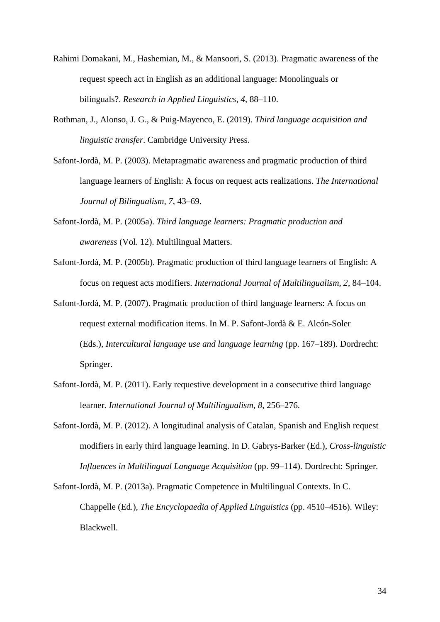- Rahimi Domakani, M., Hashemian, M., & Mansoori, S. (2013). Pragmatic awareness of the request speech act in English as an additional language: Monolinguals or bilinguals?. *Research in Applied Linguistics, 4*, 88–110.
- Rothman, J., Alonso, J. G., & Puig-Mayenco, E. (2019). *Third language acquisition and linguistic transfer*. Cambridge University Press.
- Safont-Jordà, M. P. (2003). Metapragmatic awareness and pragmatic production of third language learners of English: A focus on request acts realizations. *The International Journal of Bilingualism, 7*, 43–69.
- Safont-Jordà, M. P. (2005a). *Third language learners: Pragmatic production and awareness* (Vol. 12). Multilingual Matters.
- Safont-Jordà, M. P. (2005b). Pragmatic production of third language learners of English: A focus on request acts modifiers. *International Journal of Multilingualism, 2*, 84–104.
- Safont-Jordà, M. P. (2007). Pragmatic production of third language learners: A focus on request external modification items. In M. P. Safont-Jordà & E. Alcón-Soler (Eds.), *Intercultural language use and language learning* (pp. 167–189). Dordrecht: Springer.
- Safont-Jordà, M. P. (2011). Early requestive development in a consecutive third language learner*. International Journal of Multilingualism, 8*, 256–276.
- Safont-Jordà, M. P. (2012). A longitudinal analysis of Catalan, Spanish and English request modifiers in early third language learning. In D. Gabrys-Barker (Ed.), *Cross-linguistic Influences in Multilingual Language Acquisition* (pp. 99–114). Dordrecht: Springer.

Safont-Jordà, M. P. (2013a). Pragmatic Competence in Multilingual Contexts. In C. Chappelle (Ed.), *The Encyclopaedia of Applied Linguistics* (pp. 4510–4516). Wiley: Blackwell.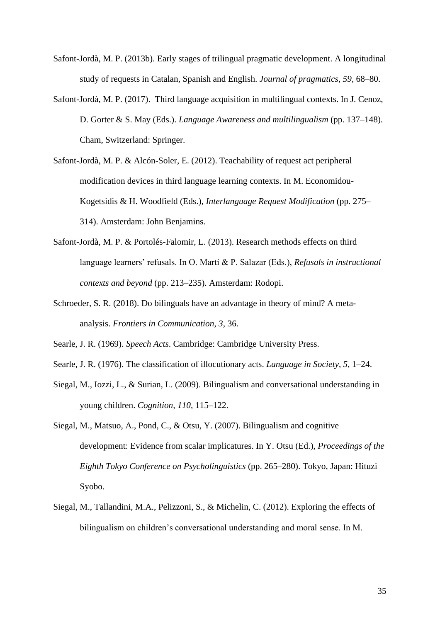- Safont-Jordà, M. P. (2013b). Early stages of trilingual pragmatic development. A longitudinal study of requests in Catalan, Spanish and English. *Journal of pragmatics*, *59*, 68–80.
- Safont-Jordà, M. P. (2017). Third language acquisition in multilingual contexts. In J. Cenoz, D. Gorter & S. May (Eds.). *Language Awareness and multilingualism* (pp. 137–148)*.* Cham, Switzerland: Springer.
- Safont-Jordà, M. P. & Alcón-Soler, E. (2012). Teachability of request act peripheral modification devices in third language learning contexts. In M. Economidou-Kogetsidis & H. Woodfield (Eds.), *Interlanguage Request Modification* (pp. 275– 314). Amsterdam: John Benjamins.
- Safont-Jordà, M. P. & Portolés-Falomir, L. (2013). Research methods effects on third language learners' refusals. In O. Martí & P. Salazar (Eds.), *Refusals in instructional contexts and beyond* (pp. 213–235). Amsterdam: Rodopi.
- Schroeder, S. R. (2018). Do bilinguals have an advantage in theory of mind? A metaanalysis. *Frontiers in Communication*, *3*, 36.
- Searle, J. R. (1969). *Speech Acts*. Cambridge: Cambridge University Press.
- Searle, J. R. (1976). The classification of illocutionary acts. *Language in Society*, *5*, 1–24.
- Siegal, M., Iozzi, L., & Surian, L. (2009). Bilingualism and conversational understanding in young children. *Cognition, 110,* 115–122.
- Siegal, M., Matsuo, A., Pond, C., & Otsu, Y. (2007). Bilingualism and cognitive development: Evidence from scalar implicatures. In Y. Otsu (Ed.), *Proceedings of the Eighth Tokyo Conference on Psycholinguistics* (pp. 265–280). Tokyo, Japan: Hituzi Syobo.
- Siegal, M., Tallandini, M.A., Pelizzoni, S., & Michelin, C. (2012). Exploring the effects of bilingualism on children's conversational understanding and moral sense. In M.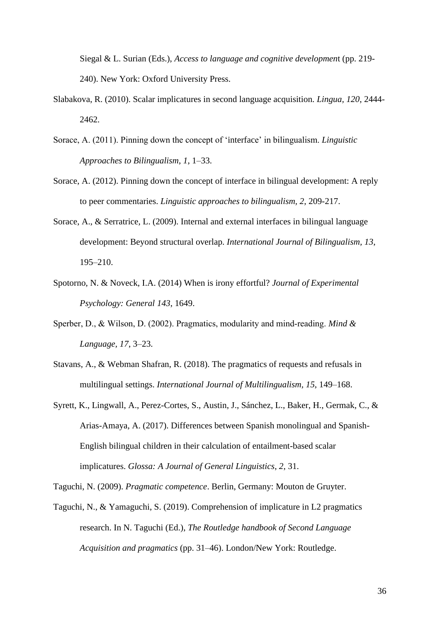Siegal & L. Surian (Eds.), *Access to language and cognitive developmen*t (pp. 219- 240). New York: Oxford University Press.

- Slabakova, R. (2010). Scalar implicatures in second language acquisition. *Lingua, 120*, 2444- 2462.
- Sorace, A. (2011). Pinning down the concept of 'interface' in bilingualism. *Linguistic Approaches to Bilingualism*, *1*, 1–33.
- Sorace, A. (2012). Pinning down the concept of interface in bilingual development: A reply to peer commentaries. *Linguistic approaches to bilingualism, 2*, 209-217.
- Sorace, A., & Serratrice, L. (2009). Internal and external interfaces in bilingual language development: Beyond structural overlap. *International Journal of Bilingualism, 13*, 195–210.
- Spotorno, N. & Noveck, I.A. (2014) When is irony effortful? *Journal of Experimental Psychology: General 143*, 1649.
- Sperber, D., & Wilson, D. (2002). Pragmatics, modularity and mind‐reading. *Mind & Language, 17*, 3–23.
- Stavans, A., & Webman Shafran, R. (2018). The pragmatics of requests and refusals in multilingual settings. *International Journal of Multilingualism, 15*, 149–168.
- Syrett, K., Lingwall, A., Perez-Cortes, S., Austin, J., Sánchez, L., Baker, H., Germak, C., & Arias-Amaya, A. (2017). Differences between Spanish monolingual and Spanish-English bilingual children in their calculation of entailment-based scalar implicatures. *Glossa: A Journal of General Linguistics*, *2*, 31.

Taguchi, N. (2009). *Pragmatic competence*. Berlin, Germany: Mouton de Gruyter.

Taguchi, N., & Yamaguchi, S. (2019). Comprehension of implicature in L2 pragmatics research. In N. Taguchi (Ed.), *The Routledge handbook of Second Language Acquisition and pragmatics* (pp. 31–46). London/New York: Routledge.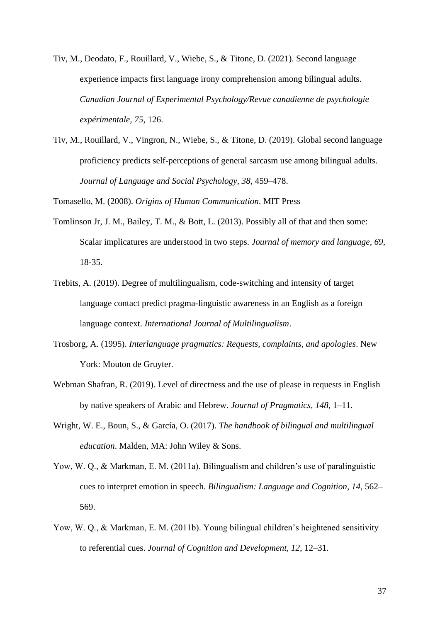- Tiv, M., Deodato, F., Rouillard, V., Wiebe, S., & Titone, D. (2021). Second language experience impacts first language irony comprehension among bilingual adults. *Canadian Journal of Experimental Psychology/Revue canadienne de psychologie expérimentale, 75*, 126.
- Tiv, M., Rouillard, V., Vingron, N., Wiebe, S., & Titone, D. (2019). Global second language proficiency predicts self-perceptions of general sarcasm use among bilingual adults. *Journal of Language and Social Psychology, 38*, 459–478.

Tomasello, M. (2008). *Origins of Human Communication*. MIT Press

- Tomlinson Jr, J. M., Bailey, T. M., & Bott, L. (2013). Possibly all of that and then some: Scalar implicatures are understood in two steps. *Journal of memory and language, 69*, 18-35.
- Trebits, A. (2019). Degree of multilingualism, code-switching and intensity of target language contact predict pragma-linguistic awareness in an English as a foreign language context. *International Journal of Multilingualism*.
- Trosborg, A. (1995). *Interlanguage pragmatics: Requests, complaints, and apologies*. New York: Mouton de Gruyter.
- Webman Shafran, R. (2019). Level of directness and the use of please in requests in English by native speakers of Arabic and Hebrew. *Journal of Pragmatics, 148*, 1–11.
- Wright, W. E., Boun, S., & García, O. (2017). *The handbook of bilingual and multilingual education*. Malden, MA: John Wiley & Sons.
- Yow, W. Q., & Markman, E. M. (2011a). Bilingualism and children's use of paralinguistic cues to interpret emotion in speech. *Bilingualism: Language and Cognition, 14*, 562– 569.
- Yow, W. Q., & Markman, E. M. (2011b). Young bilingual children's heightened sensitivity to referential cues. *Journal of Cognition and Development, 12*, 12–31.